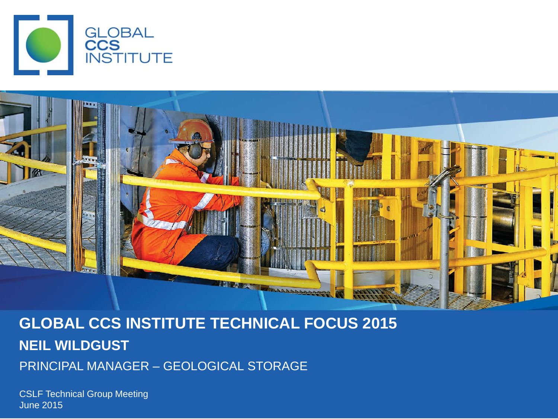



#### **GLOBAL CCS INSTITUTE TECHNICAL FOCUS 2015 NEIL WILDGUST**  PRINCIPAL MANAGER – GEOLOGICAL STORAGE

CSLF Technical Group Meeting June 2015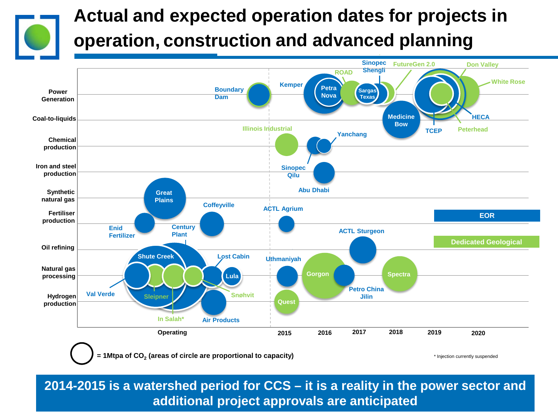

#### **Actual and expected operation dates for projects in operation, construction and advanced planning**



**2014-2015 is a watershed period for CCS – it is a reality in the power sector and additional project approvals are anticipated**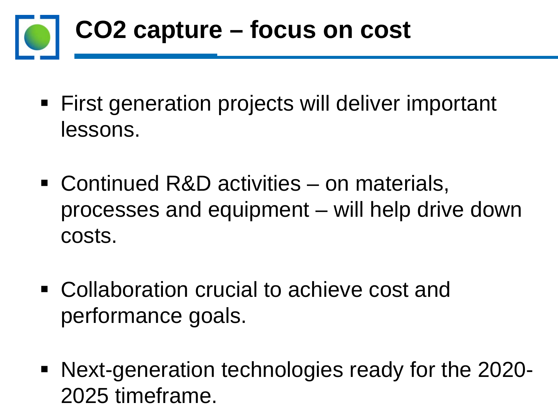# **CO2 capture – focus on cost**

- First generation projects will deliver important lessons.
- Continued R&D activities on materials, processes and equipment – will help drive down costs.
- Collaboration crucial to achieve cost and performance goals.
- Next-generation technologies ready for the 2020- 2025 timeframe.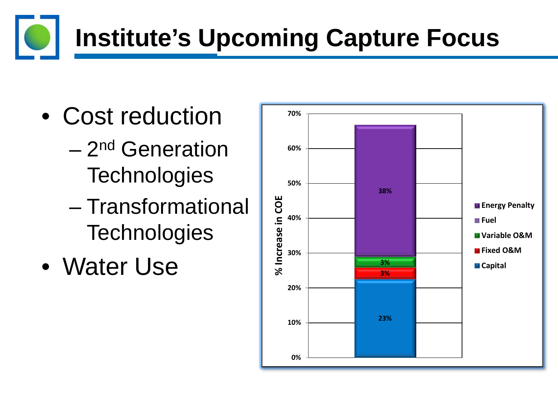### **Institute's Upcoming Capture Focus**

- Cost reduction
	- 2nd Generation **Technologies**
	- Transformational **Technologies**
- Water Use

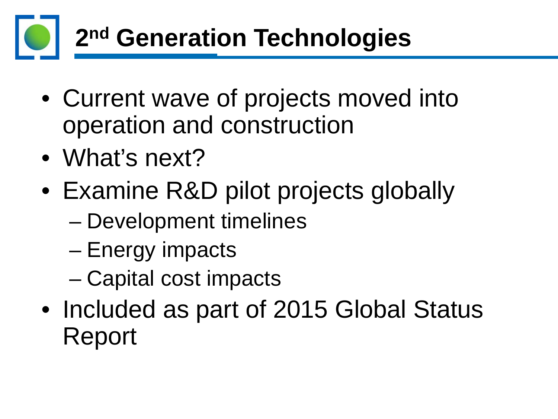

- Current wave of projects moved into operation and construction
- What's next?
- Examine R&D pilot projects globally
	- Development timelines
	- Energy impacts
	- Capital cost impacts
- Included as part of 2015 Global Status Report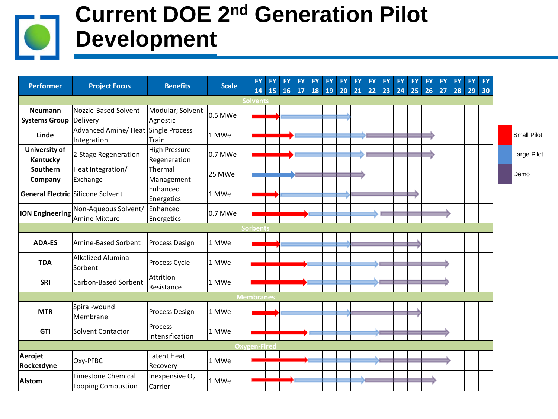#### **Current DOE 2nd Generation Pilot Development**

| <b>Performer</b>                         | <b>Project Focus</b>                              | <b>Benefits</b>                       | <b>Scale</b> | <b>FY</b><br>14     | <b>FY</b><br>15 | <b>FY</b> | <b>FY</b><br>$16$ 17 | <b>FY</b> | <b>FY</b> | FY.<br>18 19 20 21 22 23 24 | <b>FY</b> | <b>FY</b> | <b>FY</b> | <b>FY</b> | <b>FY</b><br>25 | <b>FY</b><br>26 | <b>FY</b><br>27 | <b>FY</b><br>28 | <b>FY</b><br>29 | <b>FY</b><br> 30 |                    |
|------------------------------------------|---------------------------------------------------|---------------------------------------|--------------|---------------------|-----------------|-----------|----------------------|-----------|-----------|-----------------------------|-----------|-----------|-----------|-----------|-----------------|-----------------|-----------------|-----------------|-----------------|------------------|--------------------|
| <b>Solvents</b>                          |                                                   |                                       |              |                     |                 |           |                      |           |           |                             |           |           |           |           |                 |                 |                 |                 |                 |                  |                    |
| <b>Neumann</b><br>Systems Group Delivery | Nozzle-Based Solvent                              | Modular; Solvent<br>Agnostic          | 0.5 MWe      |                     |                 |           |                      |           |           |                             |           |           |           |           |                 |                 |                 |                 |                 |                  |                    |
| Linde                                    | Advanced Amine/Heat Single Process<br>Integration | Train                                 | 1 MWe        |                     |                 |           |                      |           |           |                             |           |           |           |           |                 |                 |                 |                 |                 |                  | <b>Small Pilot</b> |
| University of<br>Kentucky                | 2-Stage Regeneration                              | <b>High Pressure</b><br>Regeneration  | 0.7 MWe      |                     |                 |           |                      |           |           |                             |           |           |           |           |                 |                 |                 |                 |                 |                  | Large Pilot        |
| <b>Southern</b><br>Company               | Heat Integration/<br>Exchange                     | Thermal<br>Management                 | 25 MWe       |                     |                 |           |                      |           |           |                             |           |           |           |           |                 |                 |                 |                 |                 |                  | Demo               |
|                                          | <b>General Electric Silicone Solvent</b>          | Enhanced<br>Energetics                | 1 MWe        |                     |                 |           |                      |           |           |                             |           |           |           |           |                 |                 |                 |                 |                 |                  |                    |
| <b>ION Engineering</b>                   | Non-Aqueous Solvent/<br>Amine Mixture             | Enhanced<br>Energetics                | 0.7 MWe      |                     |                 |           |                      |           |           |                             |           |           |           |           |                 |                 |                 |                 |                 |                  |                    |
|                                          |                                                   |                                       |              | <b>Sorbents</b>     |                 |           |                      |           |           |                             |           |           |           |           |                 |                 |                 |                 |                 |                  |                    |
| <b>ADA-ES</b>                            | Amine-Based Sorbent                               | Process Design                        | 1 MWe        |                     |                 |           |                      |           |           |                             |           |           |           |           |                 |                 |                 |                 |                 |                  |                    |
| <b>TDA</b>                               | <b>Alkalized Alumina</b><br>Sorbent               | Process Cycle                         | 1 MWe        |                     |                 |           |                      |           |           |                             |           |           |           |           |                 |                 |                 |                 |                 |                  |                    |
| <b>SRI</b>                               | Carbon-Based Sorbent                              | Attrition<br>Resistance               | 1 MWe        |                     |                 |           |                      |           |           |                             |           |           |           |           |                 |                 |                 |                 |                 |                  |                    |
|                                          |                                                   |                                       |              | <b>Membranes</b>    |                 |           |                      |           |           |                             |           |           |           |           |                 |                 |                 |                 |                 |                  |                    |
| <b>MTR</b>                               | Spiral-wound<br>Membrane                          | <b>Process Design</b>                 | 1 MWe        |                     |                 |           |                      |           |           |                             |           |           |           |           |                 |                 |                 |                 |                 |                  |                    |
| <b>GTI</b>                               | <b>Solvent Contactor</b>                          | Process<br>Intensification            | 1 MWe        |                     |                 |           |                      |           |           |                             |           |           |           |           |                 |                 |                 |                 |                 |                  |                    |
|                                          |                                                   |                                       |              | <b>Oxygen-Fired</b> |                 |           |                      |           |           |                             |           |           |           |           |                 |                 |                 |                 |                 |                  |                    |
| Aerojet<br>Rocketdyne                    | Oxy-PFBC                                          | Latent Heat<br>Recovery               | 1 MWe        |                     |                 |           |                      |           |           |                             |           |           |           |           |                 |                 |                 |                 |                 |                  |                    |
| <b>Alstom</b>                            | Limestone Chemical<br>Looping Combustion          | Inexpensive O <sub>2</sub><br>Carrier | 1 MWe        |                     |                 |           |                      |           |           |                             |           |           |           |           |                 |                 |                 |                 |                 |                  |                    |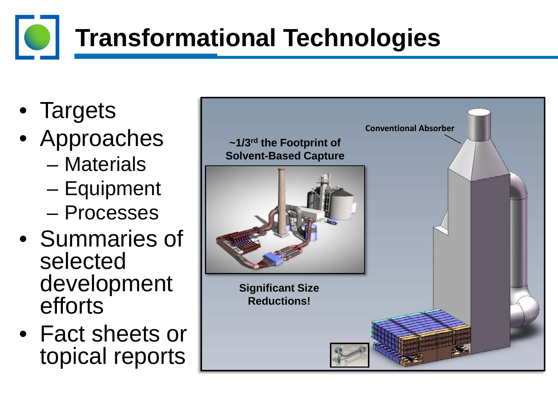### **Transformational Technologies**

- Targets
- Approaches
	- Materials
	- Equipment
	- Processes
- Summaries of selected development efforts
- Fact sheets or topical reports

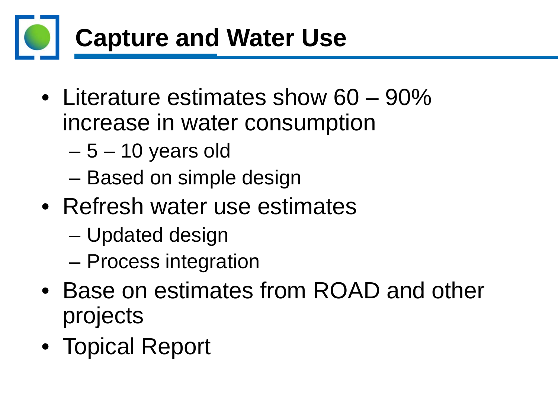

- Literature estimates show 60 90% increase in water consumption
	- $-5 10$  years old
	- Based on simple design
- Refresh water use estimates
	- Updated design
	- Process integration
- Base on estimates from ROAD and other projects
- Topical Report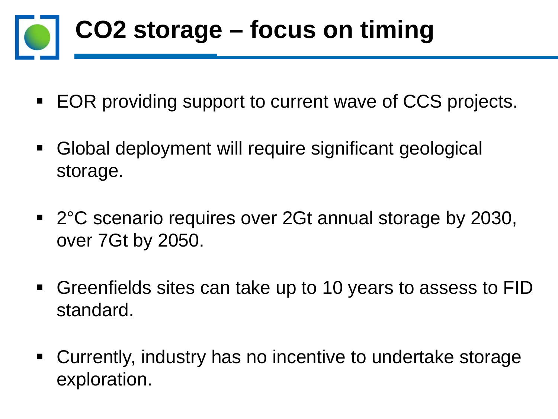

- EOR providing support to current wave of CCS projects.
- Global deployment will require significant geological storage.
- 2°C scenario requires over 2Gt annual storage by 2030, over 7Gt by 2050.
- Greenfields sites can take up to 10 years to assess to FID standard.
- Currently, industry has no incentive to undertake storage exploration.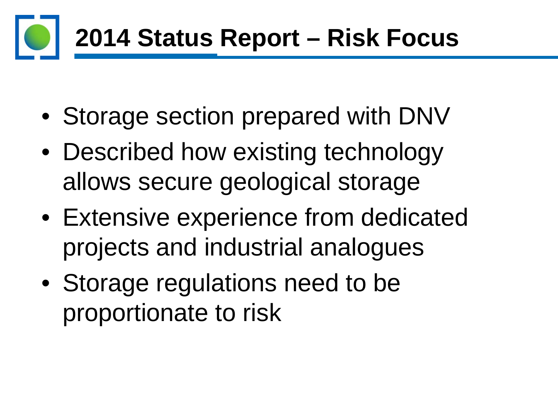## **2014 Status Report – Risk Focus**

- Storage section prepared with DNV
- Described how existing technology allows secure geological storage
- Extensive experience from dedicated projects and industrial analogues
- Storage regulations need to be proportionate to risk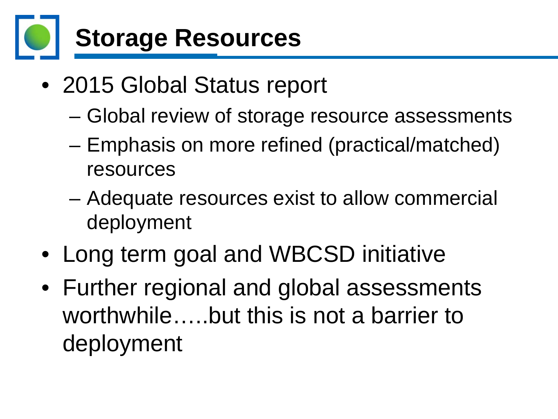

- 2015 Global Status report
	- Global review of storage resource assessments
	- Emphasis on more refined (practical/matched) resources
	- Adequate resources exist to allow commercial deployment
- Long term goal and WBCSD initiative
- Further regional and global assessments worthwhile…..but this is not a barrier to deployment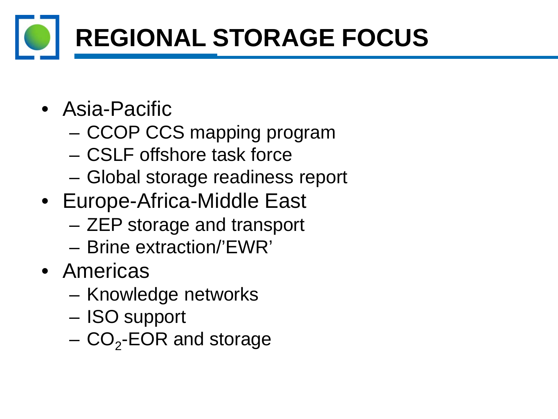# **REGIONAL STORAGE FOCUS**

- Asia-Pacific
	- CCOP CCS mapping program
	- CSLF offshore task force
	- Global storage readiness report
- Europe-Africa-Middle East
	- ZEP storage and transport
	- Brine extraction/'EWR'
- Americas
	- Knowledge networks
	- ISO support
	- $-$  CO<sub>2</sub>-EOR and storage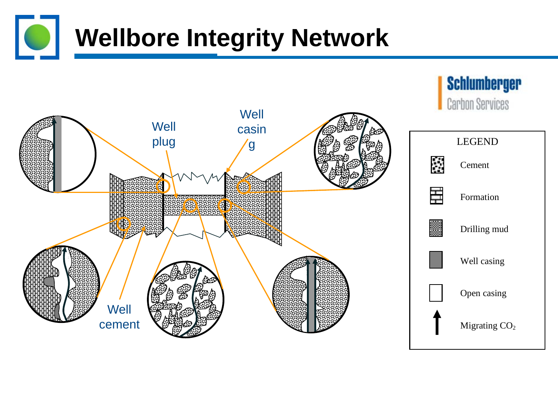#### **Wellbore Integrity Network** O